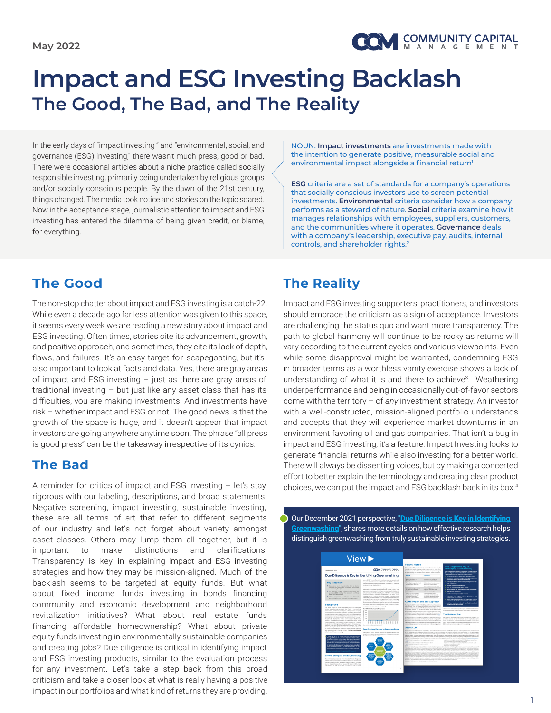

## **Impact and ESG Investing Backlash The Good, The Bad, and The Reality**

In the early days of "impact investing " and "environmental, social, and governance (ESG) investing," there wasn't much press, good or bad. There were occasional articles about a niche practice called socially responsible investing, primarily being undertaken by religious groups and/or socially conscious people. By the dawn of the 21st century, things changed. The media took notice and stories on the topic soared. Now in the acceptance stage, journalistic attention to impact and ESG investing has entered the dilemma of being given credit, or blame, for everything.

NOUN: **Impact investments** are investments made with the intention to generate positive, measurable social and environmental impact alongside a financial return<sup>1</sup>

**ESG** criteria are a set of standards for a company's operations that socially conscious investors use to screen potential investments. **Environmental** criteria consider how a company performs as a steward of nature. **Social** criteria examine how it manages relationships with employees, suppliers, customers, and the communities where it operates. **Governance** deals with a company's leadership, executive pay, audits, internal controls, and shareholder rights.2

## **The Good**

The non-stop chatter about impact and ESG investing is a catch-22. While even a decade ago far less attention was given to this space, it seems every week we are reading a new story about impact and ESG investing. Often times, stories cite its advancement, growth, and positive approach, and sometimes, they cite its lack of depth, flaws, and failures. It's an easy target for scapegoating, but it's also important to look at facts and data. Yes, there are gray areas of impact and ESG investing – just as there are gray areas of traditional investing – but just like any asset class that has its difficulties, you are making investments. And investments have risk – whether impact and ESG or not. The good news is that the growth of the space is huge, and it doesn't appear that impact investors are going anywhere anytime soon. The phrase "all press is good press" can be the takeaway irrespective of its cynics.

## **The Bad**

A reminder for critics of impact and ESG investing – let's stay rigorous with our labeling, descriptions, and broad statements. Negative screening, impact investing, sustainable investing, these are all terms of art that refer to different segments of our industry and let's not forget about variety amongst asset classes. Others may lump them all together, but it is important to make distinctions and clarifications. Transparency is key in explaining impact and ESG investing strategies and how they may be mission-aligned. Much of the backlash seems to be targeted at equity funds. But what about fixed income funds investing in bonds financing community and economic development and neighborhood revitalization initiatives? What about real estate funds financing affordable homeownership? What about private equity funds investing in environmentally sustainable companies and creating jobs? Due diligence is critical in identifying impact and ESG investing products, similar to the evaluation process for any investment. Let's take a step back from this broad criticism and take a closer look at what is really having a positive impact in our portfolios and what kind of returns they are providing.

## **The Reality**

 $\bigcirc$ 

Impact and ESG investing supporters, practitioners, and investors should embrace the criticism as a sign of acceptance. Investors are challenging the status quo and want more transparency. The path to global harmony will continue to be rocky as returns will vary according to the current cycles and various viewpoints. Even while some disapproval might be warranted, condemning ESG in broader terms as a worthless vanity exercise shows a lack of understanding of what it is and there to achieve<sup>3</sup>. Weathering underperformance and being in occasionally out-of-favor sectors come with the territory – of *any* investment strategy. An investor with a well-constructed, mission-aligned portfolio understands and accepts that they will experience market downturns in an environment favoring oil and gas companies. That isn't a bug in impact and ESG investing, it's a feature. Impact Investing looks to generate financial returns while also investing for a better world. There will always be dissenting voices, but by making a concerted effort to better explain the terminology and creating clear product choices, we can put the impact and ESG backlash back in its box.4

Our December 2021 perspective, **["Due Diligence is Key in Identifying](http://www.ccminvests.com/wp-content/uploads/2021/12/CCM-Due-Diligence-is-Key-in-Identifying-Greenwashing_December-2021.pdf) [Greenwashing"](http://www.ccminvests.com/wp-content/uploads/2021/12/CCM-Due-Diligence-is-Key-in-Identifying-Greenwashing_December-2021.pdf)**, shares more details on how effective research helps distinguish greenwashing from truly sustainable investing strategies.